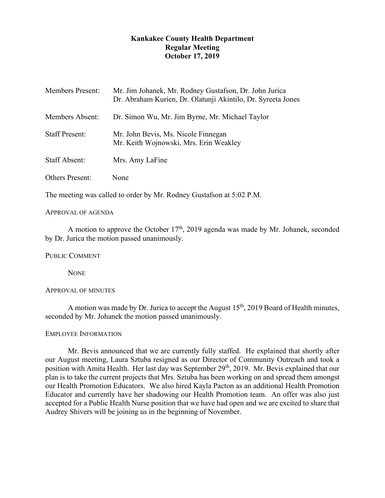# **Kankakee County Health Department Regular Meeting October 17, 2019**

| <b>Members Present:</b> | Mr. Jim Johanek, Mr. Rodney Gustafson, Dr. John Jurica<br>Dr. Abraham Kurien, Dr. Olatunji Akintilo, Dr. Syreeta Jones |
|-------------------------|------------------------------------------------------------------------------------------------------------------------|
| <b>Members Absent:</b>  | Dr. Simon Wu, Mr. Jim Byrne, Mr. Michael Taylor                                                                        |
| <b>Staff Present:</b>   | Mr. John Bevis, Ms. Nicole Finnegan<br>Mr. Keith Wojnowski, Mrs. Erin Weakley                                          |
| <b>Staff Absent:</b>    | Mrs. Amy LaFine                                                                                                        |
| <b>Others Present:</b>  | None                                                                                                                   |

The meeting was called to order by Mr. Rodney Gustafson at 5:02 P.M.

## APPROVAL OF AGENDA

A motion to approve the October  $17<sup>th</sup>$ , 2019 agenda was made by Mr. Johanek, seconded by Dr. Jurica the motion passed unanimously.

PUBLIC COMMENT

**NONE** 

## APPROVAL OF MINUTES

A motion was made by Dr. Jurica to accept the August  $15<sup>th</sup>$ , 2019 Board of Health minutes, seconded by Mr. Johanek the motion passed unanimously.

## EMPLOYEE INFORMATION

Mr. Bevis announced that we are currently fully staffed. He explained that shortly after our August meeting, Laura Sztuba resigned as our Director of Community Outreach and took a position with Amita Health. Her last day was September 29<sup>th</sup>, 2019. Mr. Bevis explained that our plan is to take the current projects that Mrs. Sztuba has been working on and spread them amongst our Health Promotion Educators. We also hired Kayla Pacton as an additional Health Promotion Educator and currently have her shadowing our Health Promotion team. An offer was also just accepted for a Public Health Nurse position that we have had open and we are excited to share that Audrey Shivers will be joining us in the beginning of November.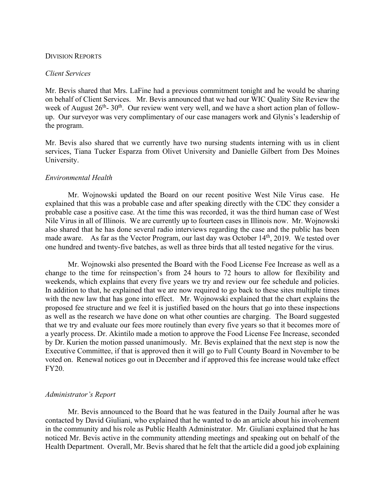## DIVISION REPORTS

## *Client Services*

Mr. Bevis shared that Mrs. LaFine had a previous commitment tonight and he would be sharing on behalf of Client Services. Mr. Bevis announced that we had our WIC Quality Site Review the week of August  $26<sup>th</sup>$ - 30<sup>th</sup>. Our review went very well, and we have a short action plan of followup. Our surveyor was very complimentary of our case managers work and Glynis's leadership of the program.

Mr. Bevis also shared that we currently have two nursing students interning with us in client services, Tiana Tucker Esparza from Olivet University and Danielle Gilbert from Des Moines University.

## *Environmental Health*

Mr. Wojnowski updated the Board on our recent positive West Nile Virus case. He explained that this was a probable case and after speaking directly with the CDC they consider a probable case a positive case. At the time this was recorded, it was the third human case of West Nile Virus in all of Illinois. We are currently up to fourteen cases in Illinois now. Mr. Wojnowski also shared that he has done several radio interviews regarding the case and the public has been made aware. As far as the Vector Program, our last day was October 14<sup>th</sup>, 2019. We tested over one hundred and twenty-five batches, as well as three birds that all tested negative for the virus.

Mr. Wojnowski also presented the Board with the Food License Fee Increase as well as a change to the time for reinspection's from 24 hours to 72 hours to allow for flexibility and weekends, which explains that every five years we try and review our fee schedule and policies. In addition to that, he explained that we are now required to go back to these sites multiple times with the new law that has gone into effect. Mr. Wojnowski explained that the chart explains the proposed fee structure and we feel it is justified based on the hours that go into these inspections as well as the research we have done on what other counties are charging. The Board suggested that we try and evaluate our fees more routinely than every five years so that it becomes more of a yearly process. Dr. Akintilo made a motion to approve the Food License Fee Increase, seconded by Dr. Kurien the motion passed unanimously. Mr. Bevis explained that the next step is now the Executive Committee, if that is approved then it will go to Full County Board in November to be voted on. Renewal notices go out in December and if approved this fee increase would take effect FY20.

## *Administrator's Report*

Mr. Bevis announced to the Board that he was featured in the Daily Journal after he was contacted by David Giuliani, who explained that he wanted to do an article about his involvement in the community and his role as Public Health Administrator. Mr. Giuliani explained that he has noticed Mr. Bevis active in the community attending meetings and speaking out on behalf of the Health Department. Overall, Mr. Bevis shared that he felt that the article did a good job explaining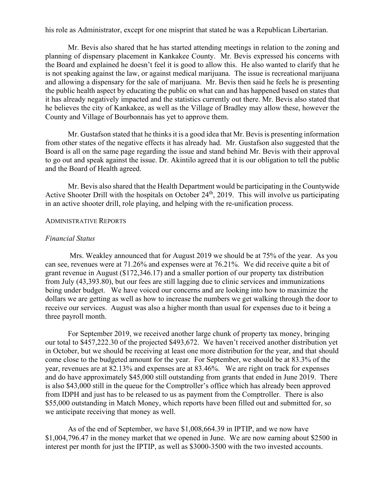his role as Administrator, except for one misprint that stated he was a Republican Libertarian.

Mr. Bevis also shared that he has started attending meetings in relation to the zoning and planning of dispensary placement in Kankakee County. Mr. Bevis expressed his concerns with the Board and explained he doesn't feel it is good to allow this. He also wanted to clarify that he is not speaking against the law, or against medical marijuana. The issue is recreational marijuana and allowing a dispensary for the sale of marijuana. Mr. Bevis then said he feels he is presenting the public health aspect by educating the public on what can and has happened based on states that it has already negatively impacted and the statistics currently out there. Mr. Bevis also stated that he believes the city of Kankakee, as well as the Village of Bradley may allow these, however the County and Village of Bourbonnais has yet to approve them.

Mr. Gustafson stated that he thinks it is a good idea that Mr. Bevis is presenting information from other states of the negative effects it has already had. Mr. Gustafson also suggested that the Board is all on the same page regarding the issue and stand behind Mr. Bevis with their approval to go out and speak against the issue. Dr. Akintilo agreed that it is our obligation to tell the public and the Board of Health agreed.

Mr. Bevis also shared that the Health Department would be participating in the Countywide Active Shooter Drill with the hospitals on October 24<sup>th</sup>, 2019. This will involve us participating in an active shooter drill, role playing, and helping with the re-unification process.

## ADMINISTRATIVE REPORTS

### *Financial Status*

Mrs. Weakley announced that for August 2019 we should be at 75% of the year. As you can see, revenues were at 71.26% and expenses were at 76.21%. We did receive quite a bit of grant revenue in August (\$172,346.17) and a smaller portion of our property tax distribution from July (43,393.80), but our fees are still lagging due to clinic services and immunizations being under budget. We have voiced our concerns and are looking into how to maximize the dollars we are getting as well as how to increase the numbers we get walking through the door to receive our services. August was also a higher month than usual for expenses due to it being a three payroll month.

For September 2019, we received another large chunk of property tax money, bringing our total to \$457,222.30 of the projected \$493,672. We haven't received another distribution yet in October, but we should be receiving at least one more distribution for the year, and that should come close to the budgeted amount for the year. For September, we should be at 83.3% of the year, revenues are at 82.13% and expenses are at 83.46%. We are right on track for expenses and do have approximately \$45,000 still outstanding from grants that ended in June 2019. There is also \$43,000 still in the queue for the Comptroller's office which has already been approved from IDPH and just has to be released to us as payment from the Comptroller. There is also \$55,000 outstanding in Match Money, which reports have been filled out and submitted for, so we anticipate receiving that money as well.

As of the end of September, we have \$1,008,664.39 in IPTIP, and we now have \$1,004,796.47 in the money market that we opened in June. We are now earning about \$2500 in interest per month for just the IPTIP, as well as \$3000-3500 with the two invested accounts.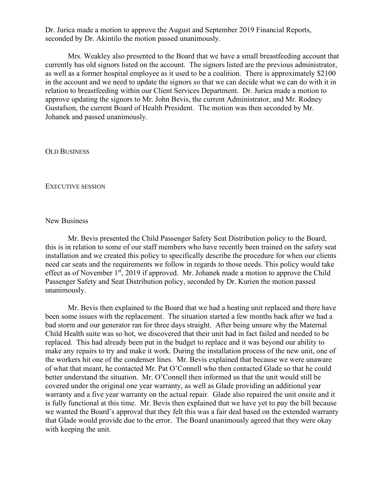Dr. Jurica made a motion to approve the August and September 2019 Financial Reports, seconded by Dr. Akintilo the motion passed unanimously.

Mrs. Weakley also presented to the Board that we have a small breastfeeding account that currently has old signors listed on the account. The signors listed are the previous administrator, as well as a former hospital employee as it used to be a coalition. There is approximately \$2100 in the account and we need to update the signors so that we can decide what we can do with it in relation to breastfeeding within our Client Services Department. Dr. Jurica made a motion to approve updating the signors to Mr. John Bevis, the current Administrator, and Mr. Rodney Gustafson, the current Board of Health President. The motion was then seconded by Mr. Johanek and passed unanimously.

OLD BUSINESS

#### EXECUTIVE SESSION

## New Business

Mr. Bevis presented the Child Passenger Safety Seat Distribution policy to the Board, this is in relation to some of our staff members who have recently been trained on the safety seat installation and we created this policy to specifically describe the procedure for when our clients need car seats and the requirements we follow in regards to those needs. This policy would take effect as of November 1<sup>st</sup>, 2019 if approved. Mr. Johanek made a motion to approve the Child Passenger Safety and Seat Distribution policy, seconded by Dr. Kurien the motion passed unanimously.

Mr. Bevis then explained to the Board that we had a heating unit replaced and there have been some issues with the replacement. The situation started a few months back after we had a bad storm and our generator ran for three days straight. After being unsure why the Maternal Child Health suite was so hot, we discovered that their unit had in fact failed and needed to be replaced. This had already been put in the budget to replace and it was beyond our ability to make any repairs to try and make it work. During the installation process of the new unit, one of the workers hit one of the condenser lines. Mr. Bevis explained that because we were unaware of what that meant, he contacted Mr. Pat O'Connell who then contacted Glade so that he could better understand the situation. Mr. O'Connell then informed us that the unit would still be covered under the original one year warranty, as well as Glade providing an additional year warranty and a five year warranty on the actual repair. Glade also repaired the unit onsite and it is fully functional at this time. Mr. Bevis then explained that we have yet to pay the bill because we wanted the Board's approval that they felt this was a fair deal based on the extended warranty that Glade would provide due to the error. The Board unanimously agreed that they were okay with keeping the unit.